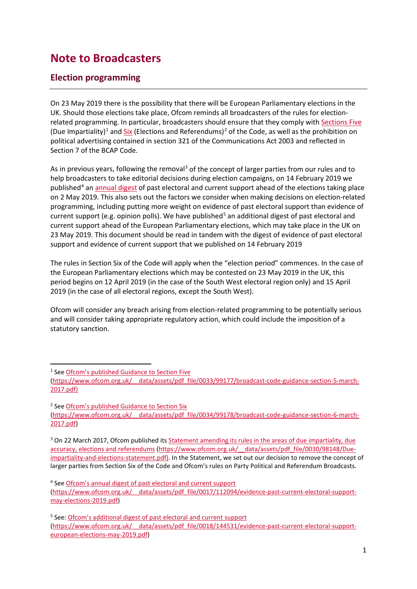## **Note to Broadcasters**

## **Election programming**

On 23 May 2019 there is the possibility that there will be European Parliamentary elections in the UK. Should those elections take place, Ofcom reminds all broadcasters of the rules for electionrelated programming. In particular, broadcasters should ensure that they comply wit[h Sections Five](https://www.ofcom.org.uk/__data/assets/pdf_file/0008/100115/broadcast-code-april-2017-section-5.pdf) (Due Impartiality)<sup>[1](#page-0-0)</sup> and  $\frac{Six}{}$  (Elections and Referendums)<sup>[2](#page-0-1)</sup> of the Code, as well as the prohibition on political advertising contained in section 321 of the Communications Act 2003 and reflected in Section 7 of the BCAP Code.

As in previous years, following the removal<sup>3</sup> of the concept of larger parties from our rules and to help broadcasters to take editorial decisions during election campaigns, on 14 February 2019 we published<sup>[4](#page-0-3)</sup> an [annual digest](https://www.ofcom.org.uk/__data/assets/pdf_file/0017/112094/evidence-past-current-electoral-support-may-elections-2019.pdf) of past electoral and current support ahead of the elections taking place on 2 May 2019. This also sets out the factors we consider when making decisions on election-related programming, including putting more weight on evidence of past electoral support than evidence of current support (e.g. opinion polls). We have published<sup>[5](#page-0-4)</sup> an additional digest of past electoral and current support ahead of the European Parliamentary elections, which may take place in the UK on 23 May 2019. This document should be read in tandem with the digest of evidence of past electoral support and evidence of current support that we published on 14 February 2019

The rules in Section Six of the Code will apply when the "election period" commences. In the case of the European Parliamentary elections which may be contested on 23 May 2019 in the UK, this period begins on 12 April 2019 (in the case of the South West electoral region only) and 15 April 2019 (in the case of all electoral regions, except the South West).

Ofcom will consider any breach arising from election-related programming to be potentially serious and will consider taking appropriate regulatory action, which could include the imposition of a statutory sanction.

<span id="page-0-1"></span><sup>2</sup> See [Ofcom's published Guidance to Section Six](https://www.ofcom.org.uk/__data/assets/pdf_file/0034/99178/broadcast-code-guidance-section-6-march-2017.pdf) [\(https://www.ofcom.org.uk/\\_\\_data/assets/pdf\\_file/0034/99178/broadcast-code-guidance-section-6-march-](https://www.ofcom.org.uk/__data/assets/pdf_file/0034/99178/broadcast-code-guidance-section-6-march-2017.pdf)[2017.pdf\)](https://www.ofcom.org.uk/__data/assets/pdf_file/0034/99178/broadcast-code-guidance-section-6-march-2017.pdf)

<span id="page-0-2"></span><sup>3</sup> On 22 March 2017, Ofcom published its Statement amending its rules in the areas of due impartiality, due [accuracy, elections and referendums](https://www.ofcom.org.uk/__data/assets/pdf_file/0030/98148/Due-impartiality-and-elections-statement.pdf)) [\(https://www.ofcom.org.uk/\\_\\_data/assets/pdf\\_file/0030/98148/Due](https://www.ofcom.org.uk/__data/assets/pdf_file/0030/98148/Due-impartiality-and-elections-statement.pdf)[impartiality-and-elections-statement.pdf\)](https://www.ofcom.org.uk/__data/assets/pdf_file/0030/98148/Due-impartiality-and-elections-statement.pdf). In the Statement, we set out our decision to remove the concept of larger parties from Section Six of the Code and Ofcom's rules on Party Political and Referendum Broadcasts.

<span id="page-0-0"></span><sup>&</sup>lt;sup>1</sup> See [Ofcom's published Guidance to Section Five](https://www.ofcom.org.uk/__data/assets/pdf_file/0033/99177/broadcast-code-guidance-section-5-march-2017.pdf)

[<sup>\(</sup>https://www.ofcom.org.uk/\\_\\_data/assets/pdf\\_file/0033/99177/broadcast-code-guidance-section-5-march-](https://www.ofcom.org.uk/__data/assets/pdf_file/0033/99177/broadcast-code-guidance-section-5-march-2017.pdf)[2017.pdf\)](https://www.ofcom.org.uk/__data/assets/pdf_file/0033/99177/broadcast-code-guidance-section-5-march-2017.pdf)

<span id="page-0-3"></span><sup>4</sup> See [Ofcom's annual digest of past electoral and current support](https://www.ofcom.org.uk/__data/assets/pdf_file/0017/112094/evidence-past-current-electoral-support-may-elections-2019.pdf)

[<sup>\(</sup>https://www.ofcom.org.uk/\\_\\_data/assets/pdf\\_file/0017/112094/evidence-past-current-electoral-support](https://www.ofcom.org.uk/__data/assets/pdf_file/0017/112094/evidence-past-current-electoral-support-may-elections-2019.pdf)[may-elections-2019.pdf\)](https://www.ofcom.org.uk/__data/assets/pdf_file/0017/112094/evidence-past-current-electoral-support-may-elections-2019.pdf)

<span id="page-0-4"></span><sup>&</sup>lt;sup>5</sup> See: [Ofcom's additional digest of past electoral and current support](https://www.ofcom.org.uk/__data/assets/pdf_file/0018/144531/evidence-past-current-electoral-support-european-elections-may-2019.pdf) [\(https://www.ofcom.org.uk/\\_\\_data/assets/pdf\\_file/0018/144531/evidence-past-current-electoral-support](https://www.ofcom.org.uk/__data/assets/pdf_file/0018/144531/evidence-past-current-electoral-support-european-elections-may-2019.pdf)[european-elections-may-2019.pdf\)](https://www.ofcom.org.uk/__data/assets/pdf_file/0018/144531/evidence-past-current-electoral-support-european-elections-may-2019.pdf)